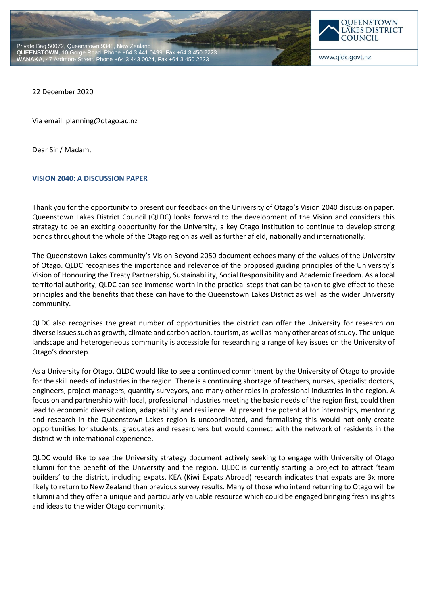



www.qldc.govt.nz

22 December 2020

Via email: planning@otago.ac.nz

Dear Sir / Madam,

## **VISION 2040: A DISCUSSION PAPER**

Thank you for the opportunity to present our feedback on the University of Otago's Vision 2040 discussion paper. Queenstown Lakes District Council (QLDC) looks forward to the development of the Vision and considers this strategy to be an exciting opportunity for the University, a key Otago institution to continue to develop strong bonds throughout the whole of the Otago region as well as further afield, nationally and internationally.

The Queenstown Lakes community's Vision Beyond 2050 document echoes many of the values of the University of Otago. QLDC recognises the importance and relevance of the proposed guiding principles of the University's Vision of Honouring the Treaty Partnership, Sustainability, Social Responsibility and Academic Freedom. As a local territorial authority, QLDC can see immense worth in the practical steps that can be taken to give effect to these principles and the benefits that these can have to the Queenstown Lakes District as well as the wider University community.

QLDC also recognises the great number of opportunities the district can offer the University for research on diverse issues such as growth, climate and carbon action, tourism, as well as many other areas of study. The unique landscape and heterogeneous community is accessible for researching a range of key issues on the University of Otago's doorstep.

As a University for Otago, QLDC would like to see a continued commitment by the University of Otago to provide for the skill needs of industries in the region. There is a continuing shortage of teachers, nurses, specialist doctors, engineers, project managers, quantity surveyors, and many other roles in professional industries in the region. A focus on and partnership with local, professional industries meeting the basic needs of the region first, could then lead to economic diversification, adaptability and resilience. At present the potential for internships, mentoring and research in the Queenstown Lakes region is uncoordinated, and formalising this would not only create opportunities for students, graduates and researchers but would connect with the network of residents in the district with international experience.

QLDC would like to see the University strategy document actively seeking to engage with University of Otago alumni for the benefit of the University and the region. QLDC is currently starting a project to attract 'team builders' to the district, including expats. KEA (Kiwi Expats Abroad) research indicates that expats are 3x more likely to return to New Zealand than previous survey results. Many of those who intend returning to Otago will be alumni and they offer a unique and particularly valuable resource which could be engaged bringing fresh insights and ideas to the wider Otago community.